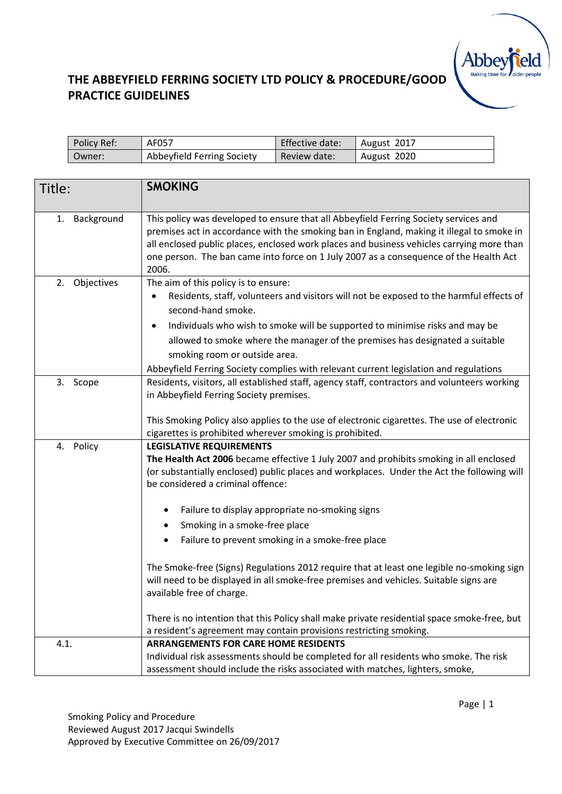| Policy Ref: | AF057                      | Effective date: | August 2017 |
|-------------|----------------------------|-----------------|-------------|
| Owner:      | Abbeyfield Ferring Society | Review date:    | August 2020 |

| Title:           | <b>SMOKING</b>                                                                                                                                                                                                                                                                                                                                                                                                                                                                                                                                                                                                                                                                                                                                                                                            |
|------------------|-----------------------------------------------------------------------------------------------------------------------------------------------------------------------------------------------------------------------------------------------------------------------------------------------------------------------------------------------------------------------------------------------------------------------------------------------------------------------------------------------------------------------------------------------------------------------------------------------------------------------------------------------------------------------------------------------------------------------------------------------------------------------------------------------------------|
| Background<br>1. | This policy was developed to ensure that all Abbeyfield Ferring Society services and<br>premises act in accordance with the smoking ban in England, making it illegal to smoke in<br>all enclosed public places, enclosed work places and business vehicles carrying more than<br>one person. The ban came into force on 1 July 2007 as a consequence of the Health Act<br>2006.                                                                                                                                                                                                                                                                                                                                                                                                                          |
| Objectives<br>2. | The aim of this policy is to ensure:<br>Residents, staff, volunteers and visitors will not be exposed to the harmful effects of<br>second-hand smoke.<br>Individuals who wish to smoke will be supported to minimise risks and may be<br>٠<br>allowed to smoke where the manager of the premises has designated a suitable<br>smoking room or outside area.<br>Abbeyfield Ferring Society complies with relevant current legislation and regulations                                                                                                                                                                                                                                                                                                                                                      |
| 3. Scope         | Residents, visitors, all established staff, agency staff, contractors and volunteers working<br>in Abbeyfield Ferring Society premises.<br>This Smoking Policy also applies to the use of electronic cigarettes. The use of electronic<br>cigarettes is prohibited wherever smoking is prohibited.                                                                                                                                                                                                                                                                                                                                                                                                                                                                                                        |
| 4. Policy        | <b>LEGISLATIVE REQUIREMENTS</b><br>The Health Act 2006 became effective 1 July 2007 and prohibits smoking in all enclosed<br>(or substantially enclosed) public places and workplaces. Under the Act the following will<br>be considered a criminal offence:<br>Failure to display appropriate no-smoking signs<br>$\bullet$<br>Smoking in a smoke-free place<br>Failure to prevent smoking in a smoke-free place<br>The Smoke-free (Signs) Regulations 2012 require that at least one legible no-smoking sign<br>will need to be displayed in all smoke-free premises and vehicles. Suitable signs are<br>available free of charge.<br>There is no intention that this Policy shall make private residential space smoke-free, but<br>a resident's agreement may contain provisions restricting smoking. |
| 4.1.             | <b>ARRANGEMENTS FOR CARE HOME RESIDENTS</b><br>Individual risk assessments should be completed for all residents who smoke. The risk<br>assessment should include the risks associated with matches, lighters, smoke,                                                                                                                                                                                                                                                                                                                                                                                                                                                                                                                                                                                     |

**Abbey**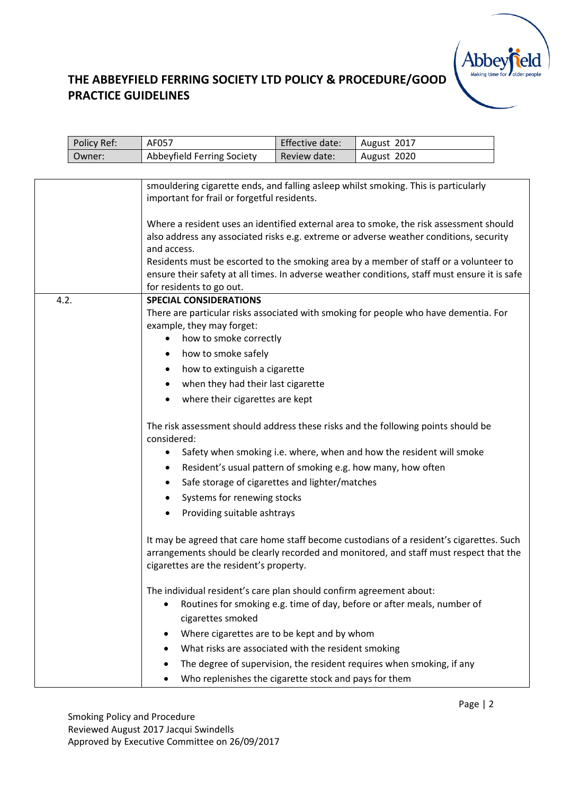

|      | Policy Ref: | AF057                                                                                                                                                                                                                                                                                                                                                                                                                 | Effective date: | August 2017                                                                                                                                                                        |  |
|------|-------------|-----------------------------------------------------------------------------------------------------------------------------------------------------------------------------------------------------------------------------------------------------------------------------------------------------------------------------------------------------------------------------------------------------------------------|-----------------|------------------------------------------------------------------------------------------------------------------------------------------------------------------------------------|--|
|      | Owner:      | Abbeyfield Ferring Society                                                                                                                                                                                                                                                                                                                                                                                            | Review date:    | August 2020                                                                                                                                                                        |  |
|      |             |                                                                                                                                                                                                                                                                                                                                                                                                                       |                 |                                                                                                                                                                                    |  |
|      |             | smouldering cigarette ends, and falling asleep whilst smoking. This is particularly<br>important for frail or forgetful residents.                                                                                                                                                                                                                                                                                    |                 |                                                                                                                                                                                    |  |
|      |             | Where a resident uses an identified external area to smoke, the risk assessment should<br>also address any associated risks e.g. extreme or adverse weather conditions, security<br>and access.<br>Residents must be escorted to the smoking area by a member of staff or a volunteer to<br>ensure their safety at all times. In adverse weather conditions, staff must ensure it is safe<br>for residents to go out. |                 |                                                                                                                                                                                    |  |
| 4.2. |             | <b>SPECIAL CONSIDERATIONS</b><br>example, they may forget:<br>how to smoke correctly<br>$\bullet$<br>how to smoke safely<br>٠<br>how to extinguish a cigarette<br>when they had their last cigarette<br>where their cigarettes are kept                                                                                                                                                                               |                 | There are particular risks associated with smoking for people who have dementia. For                                                                                               |  |
|      |             | considered:<br>$\bullet$<br>Resident's usual pattern of smoking e.g. how many, how often<br>٠<br>Safe storage of cigarettes and lighter/matches<br>Systems for renewing stocks<br>Providing suitable ashtrays                                                                                                                                                                                                         |                 | The risk assessment should address these risks and the following points should be<br>Safety when smoking i.e. where, when and how the resident will smoke                          |  |
|      |             | cigarettes are the resident's property.                                                                                                                                                                                                                                                                                                                                                                               |                 | It may be agreed that care home staff become custodians of a resident's cigarettes. Such<br>arrangements should be clearly recorded and monitored, and staff must respect that the |  |
|      |             | The individual resident's care plan should confirm agreement about:<br>٠<br>cigarettes smoked<br>Where cigarettes are to be kept and by whom<br>٠<br>What risks are associated with the resident smoking<br>Who replenishes the cigarette stock and pays for them<br>٠                                                                                                                                                |                 | Routines for smoking e.g. time of day, before or after meals, number of<br>The degree of supervision, the resident requires when smoking, if any                                   |  |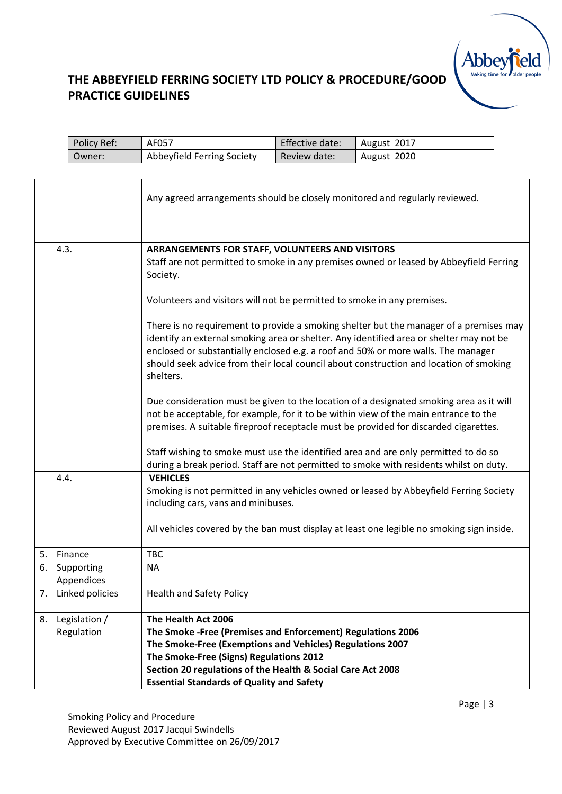

| Policy Ref: | AF057                      | Effective date: | August 2017 |
|-------------|----------------------------|-----------------|-------------|
| Owner:      | Abbeyfield Ferring Society | Review date:    | August 2020 |

|    |                          | Any agreed arrangements should be closely monitored and regularly reviewed.                                                                                                                                                                                                                                                                                                   |  |  |
|----|--------------------------|-------------------------------------------------------------------------------------------------------------------------------------------------------------------------------------------------------------------------------------------------------------------------------------------------------------------------------------------------------------------------------|--|--|
|    |                          |                                                                                                                                                                                                                                                                                                                                                                               |  |  |
|    | 4.3.                     | ARRANGEMENTS FOR STAFF, VOLUNTEERS AND VISITORS                                                                                                                                                                                                                                                                                                                               |  |  |
|    |                          | Staff are not permitted to smoke in any premises owned or leased by Abbeyfield Ferring<br>Society.                                                                                                                                                                                                                                                                            |  |  |
|    |                          | Volunteers and visitors will not be permitted to smoke in any premises.                                                                                                                                                                                                                                                                                                       |  |  |
|    |                          | There is no requirement to provide a smoking shelter but the manager of a premises may<br>identify an external smoking area or shelter. Any identified area or shelter may not be<br>enclosed or substantially enclosed e.g. a roof and 50% or more walls. The manager<br>should seek advice from their local council about construction and location of smoking<br>shelters. |  |  |
|    |                          | Due consideration must be given to the location of a designated smoking area as it will<br>not be acceptable, for example, for it to be within view of the main entrance to the<br>premises. A suitable fireproof receptacle must be provided for discarded cigarettes.                                                                                                       |  |  |
|    |                          | Staff wishing to smoke must use the identified area and are only permitted to do so<br>during a break period. Staff are not permitted to smoke with residents whilst on duty.                                                                                                                                                                                                 |  |  |
|    | 4.4.                     | <b>VEHICLES</b>                                                                                                                                                                                                                                                                                                                                                               |  |  |
|    |                          | Smoking is not permitted in any vehicles owned or leased by Abbeyfield Ferring Society<br>including cars, vans and minibuses.                                                                                                                                                                                                                                                 |  |  |
|    |                          | All vehicles covered by the ban must display at least one legible no smoking sign inside.                                                                                                                                                                                                                                                                                     |  |  |
|    | 5. Finance               | <b>TBC</b>                                                                                                                                                                                                                                                                                                                                                                    |  |  |
| 6. | Supporting<br>Appendices | <b>NA</b>                                                                                                                                                                                                                                                                                                                                                                     |  |  |
|    | 7. Linked policies       | <b>Health and Safety Policy</b>                                                                                                                                                                                                                                                                                                                                               |  |  |
|    | 8. Legislation /         | The Health Act 2006                                                                                                                                                                                                                                                                                                                                                           |  |  |
|    | Regulation               | The Smoke - Free (Premises and Enforcement) Regulations 2006                                                                                                                                                                                                                                                                                                                  |  |  |
|    |                          | The Smoke-Free (Exemptions and Vehicles) Regulations 2007                                                                                                                                                                                                                                                                                                                     |  |  |
|    |                          | The Smoke-Free (Signs) Regulations 2012                                                                                                                                                                                                                                                                                                                                       |  |  |
|    |                          | Section 20 regulations of the Health & Social Care Act 2008                                                                                                                                                                                                                                                                                                                   |  |  |
|    |                          | <b>Essential Standards of Quality and Safety</b>                                                                                                                                                                                                                                                                                                                              |  |  |

Smoking Policy and Procedure Reviewed August 2017 Jacqui Swindells Approved by Executive Committee on 26/09/2017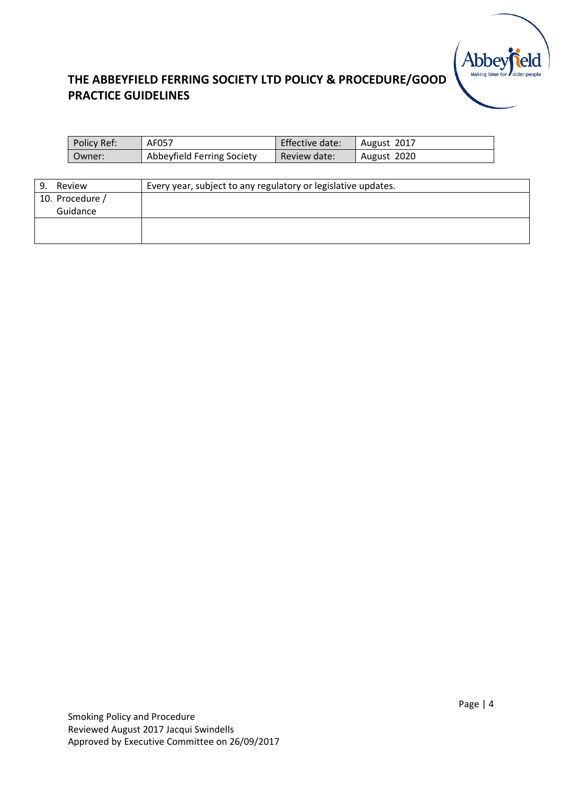

| Policy Ref: | AF057                      | Effective date: | August 2017 |
|-------------|----------------------------|-----------------|-------------|
| Owner:      | Abbeyfield Ferring Society | Review date:    | August 2020 |

| Review          | Every year, subject to any regulatory or legislative updates. |
|-----------------|---------------------------------------------------------------|
| 10. Procedure / |                                                               |
| Guidance        |                                                               |
|                 |                                                               |
|                 |                                                               |